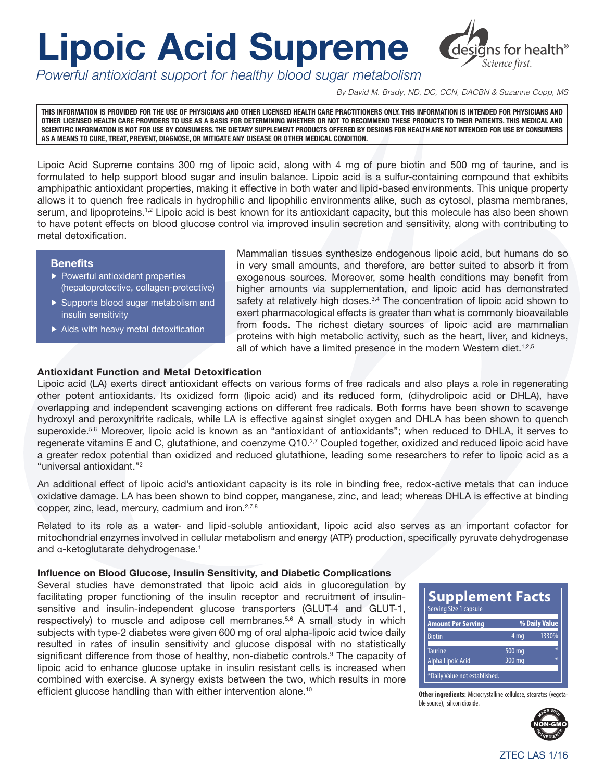# **Lipoic Acid Supreme**



*Powerful antioxidant support for healthy blood sugar metabolism*

*By David M. Brady, ND, DC, CCN, DACBN & Suzanne Copp, MS*

**THIS INFORMATION IS PROVIDED FOR THE USE OF PHYSICIANS AND OTHER LICENSED HEALTH CARE PRACTITIONERS ONLY. THIS INFORMATION IS INTENDED FOR PHYSICIANS AND OTHER LICENSED HEALTH CARE PROVIDERS TO USE AS A BASIS FOR DETERMINING WHETHER OR NOT TO RECOMMEND THESE PRODUCTS TO THEIR PATIENTS. THIS MEDICAL AND SCIENTIFIC INFORMATION IS NOT FOR USE BY CONSUMERS. THE DIETARY SUPPLEMENT PRODUCTS OFFERED BY DESIGNS FOR HEALTH ARE NOT INTENDED FOR USE BY CONSUMERS AS A MEANS TO CURE, TREAT, PREVENT, DIAGNOSE, OR MITIGATE ANY DISEASE OR OTHER MEDICAL CONDITION.**

Lipoic Acid Supreme contains 300 mg of lipoic acid, along with 4 mg of pure biotin and 500 mg of taurine, and is formulated to help support blood sugar and insulin balance. Lipoic acid is a sulfur-containing compound that exhibits amphipathic antioxidant properties, making it effective in both water and lipid-based environments. This unique property allows it to quench free radicals in hydrophilic and lipophilic environments alike, such as cytosol, plasma membranes, serum, and lipoproteins.<sup>1,2</sup> Lipoic acid is best known for its antioxidant capacity, but this molecule has also been shown to have potent effects on blood glucose control via improved insulin secretion and sensitivity, along with contributing to metal detoxification.

#### **Benefits**

- ▶ Powerful antioxidant properties (hepatoprotective, collagen-protective)
- ▶ Supports blood sugar metabolism and insulin sensitivity
- ▶ Aids with heavy metal detoxification

Mammalian tissues synthesize endogenous lipoic acid, but humans do so in very small amounts, and therefore, are better suited to absorb it from exogenous sources. Moreover, some health conditions may benefit from higher amounts via supplementation, and lipoic acid has demonstrated safety at relatively high doses.<sup>3,4</sup> The concentration of lipoic acid shown to exert pharmacological effects is greater than what is commonly bioavailable from foods. The richest dietary sources of lipoic acid are mammalian proteins with high metabolic activity, such as the heart, liver, and kidneys, all of which have a limited presence in the modern Western diet.<sup>1,2,5</sup>

### Antioxidant Function and Metal Detoxification

Lipoic acid (LA) exerts direct antioxidant effects on various forms of free radicals and also plays a role in regenerating other potent antioxidants. Its oxidized form (lipoic acid) and its reduced form, (dihydrolipoic acid or DHLA), have overlapping and independent scavenging actions on different free radicals. Both forms have been shown to scavenge hydroxyl and peroxynitrite radicals, while LA is effective against singlet oxygen and DHLA has been shown to quench superoxide.<sup>5,6</sup> Moreover, lipoic acid is known as an "antioxidant of antioxidants"; when reduced to DHLA, it serves to regenerate vitamins E and C, glutathione, and coenzyme Q10.<sup>2,7</sup> Coupled together, oxidized and reduced lipoic acid have a greater redox potential than oxidized and reduced glutathione, leading some researchers to refer to lipoic acid as a "universal antioxidant."2

An additional effect of lipoic acid's antioxidant capacity is its role in binding free, redox-active metals that can induce oxidative damage. LA has been shown to bind copper, manganese, zinc, and lead; whereas DHLA is effective at binding copper, zinc, lead, mercury, cadmium and iron.<sup>2,7,8</sup>

Related to its role as a water- and lipid-soluble antioxidant, lipoic acid also serves as an important cofactor for mitochondrial enzymes involved in cellular metabolism and energy (ATP) production, specifically pyruvate dehydrogenase and α-ketoglutarate dehydrogenase.<sup>1</sup>

#### Influence on Blood Glucose, Insulin Sensitivity, and Diabetic Complications

Several studies have demonstrated that lipoic acid aids in glucoregulation by facilitating proper functioning of the insulin receptor and recruitment of insulinsensitive and insulin-independent glucose transporters (GLUT-4 and GLUT-1, respectively) to muscle and adipose cell membranes.<sup>5,6</sup> A small study in which subjects with type-2 diabetes were given 600 mg of oral alpha-lipoic acid twice daily resulted in rates of insulin sensitivity and glucose disposal with no statistically significant difference from those of healthy, non-diabetic controls.<sup>9</sup> The capacity of lipoic acid to enhance glucose uptake in insulin resistant cells is increased when combined with exercise. A synergy exists between the two, which results in more efficient glucose handling than with either intervention alone.<sup>10</sup>



**Other ingredients:** Microcrystalline cellulose, stearates (vegetable source), silicon dioxide.